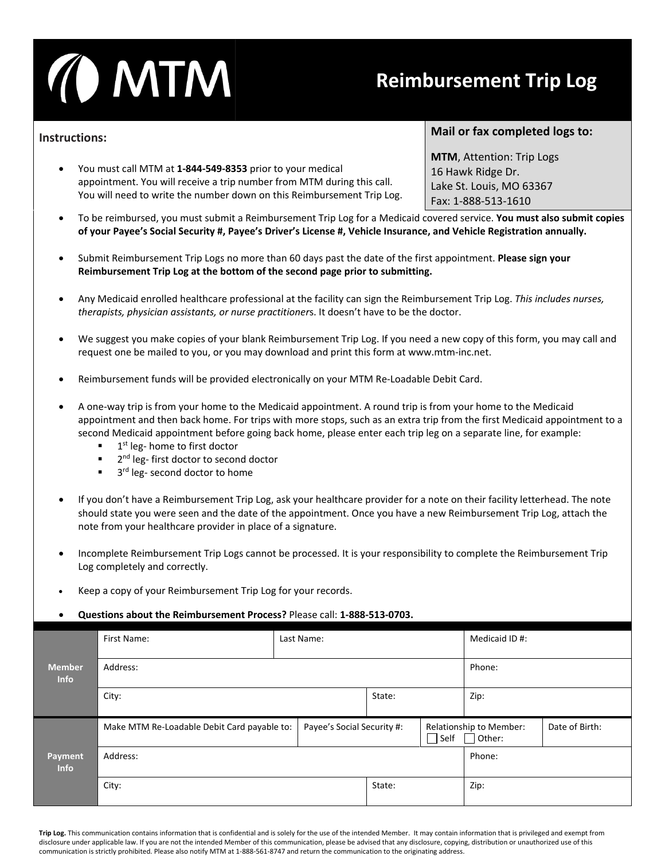

## **Reimbursement Trip Log**

## **Instructions:**

• You must call MTM at **1-844-549-8353** prior to your medical appointment. You will receive a trip number from MTM during this call. You will need to write the number down on this Reimbursement Trip Log.

## **Mail or fax completed logs to:**

**MTM**, Attention: Trip Logs 16 Hawk Ridge Dr. Lake St. Louis, MO 63367 Fax: 1-888-513-1610

- To be reimbursed, you must submit a Reimbursement Trip Log for a Medicaid covered service. **You must also submit copies of your Payee's Social Security #, Payee's Driver's License #, Vehicle Insurance, and Vehicle Registration annually.**
- Submit Reimbursement Trip Logs no more than 60 days past the date of the first appointment. **Please sign your Reimbursement Trip Log at the bottom of the second page prior to submitting.**
- Any Medicaid enrolled healthcare professional at the facility can sign the Reimbursement Trip Log. *This includes nurses, therapists, physician assistants, or nurse practitioner*s. It doesn't have to be the doctor.
- We suggest you make copies of your blank Reimbursement Trip Log. If you need a new copy of this form, you may call and request one be mailed to you, or you may download and print this form at www.mtm-inc.net.
- Reimbursement funds will be provided electronically on your MTM Re-Loadable Debit Card.
- A one-way trip is from your home to the Medicaid appointment. A round trip is from your home to the Medicaid appointment and then back home. For trips with more stops, such as an extra trip from the first Medicaid appointment to a second Medicaid appointment before going back home, please enter each trip leg on a separate line, for example:
	- 1<sup>st</sup> leg- home to first doctor
	- 2<sup>nd</sup> leg- first doctor to second doctor
	- $\blacksquare$  3<sup>rd</sup> leg- second doctor to home
- If you don't have a Reimbursement Trip Log, ask your healthcare provider for a note on their facility letterhead. The note should state you were seen and the date of the appointment. Once you have a new Reimbursement Trip Log, attach the note from your healthcare provider in place of a signature.
- Incomplete Reimbursement Trip Logs cannot be processed. It is your responsibility to complete the Reimbursement Trip Log completely and correctly.
- Keep a copy of your Reimbursement Trip Log for your records.

## • **Questions about the Reimbursement Process?** Please call: **1-888-513-0703.**

|                              | First Name:                                 | Last Name:                 |        |             | Medicaid ID#:                            |                |
|------------------------------|---------------------------------------------|----------------------------|--------|-------------|------------------------------------------|----------------|
| <b>Member</b><br><b>Info</b> | Address:                                    |                            | Phone: |             |                                          |                |
|                              | City:                                       |                            | State: |             | Zip:                                     |                |
|                              | Make MTM Re-Loadable Debit Card payable to: | Payee's Social Security #: |        | $\Box$ Self | Relationship to Member:<br>$\Box$ Other: | Date of Birth: |
| Payment<br><b>Info</b>       | Address:                                    | Phone:                     |        |             |                                          |                |
|                              | City:                                       |                            | State: |             | Zip:                                     |                |

**Trip Log.** This communication contains information that is confidential and is solely for the use of the intended Member. It may contain information that is privileged and exempt from disclosure under applicable law. If you are not the intended Member of this communication, please be advised that any disclosure, copying, distribution or unauthorized use of this communication is strictly prohibited. Please also notify MTM at 1-888-561-8747 and return the communication to the originating address.